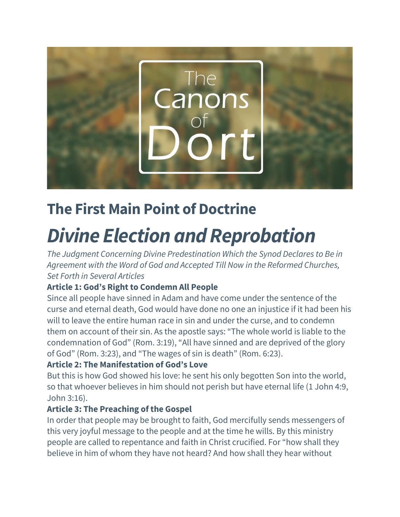

### **The First Main Point of Doctrine**

# *Divine Election and Reprobation*

*The Judgment Concerning Divine Predestination Which the Synod Declares to Be in Agreement with the Word of God and Accepted Till Now in the Reformed Churches, Set Forth in Several Articles*

#### **Article 1: God's Right to Condemn All People**

Since all people have sinned in Adam and have come under the sentence of the curse and eternal death, God would have done no one an injustice if it had been his will to leave the entire human race in sin and under the curse, and to condemn them on account of their sin. As the apostle says: "The whole world is liable to the condemnation of God" (Rom. 3:19), "All have sinned and are deprived of the glory of God" (Rom. 3:23), and "The wages of sin is death" (Rom. 6:23).

#### **Article 2: The Manifestation of God's Love**

But this is how God showed his love: he sent his only begotten Son into the world, so that whoever believes in him should not perish but have eternal life (1 John 4:9, John 3:16).

#### **Article 3: The Preaching of the Gospel**

In order that people may be brought to faith, God mercifully sends messengers of this very joyful message to the people and at the time he wills. By this ministry people are called to repentance and faith in Christ crucified. For "how shall they believe in him of whom they have not heard? And how shall they hear without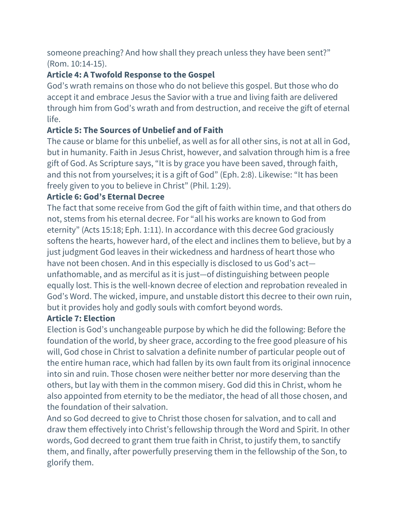someone preaching? And how shall they preach unless they have been sent?" (Rom. 10:14-15).

#### **Article 4: A Twofold Response to the Gospel**

God's wrath remains on those who do not believe this gospel. But those who do accept it and embrace Jesus the Savior with a true and living faith are delivered through him from God's wrath and from destruction, and receive the gift of eternal life.

#### **Article 5: The Sources of Unbelief and of Faith**

The cause or blame for this unbelief, as well as for all other sins, is not at all in God, but in humanity. Faith in Jesus Christ, however, and salvation through him is a free gift of God. As Scripture says, "It is by grace you have been saved, through faith, and this not from yourselves; it is a gift of God" (Eph. 2:8). Likewise: "It has been freely given to you to believe in Christ" (Phil. 1:29).

#### **Article 6: God's Eternal Decree**

The fact that some receive from God the gift of faith within time, and that others do not, stems from his eternal decree. For "all his works are known to God from eternity" (Acts 15:18; Eph. 1:11). In accordance with this decree God graciously softens the hearts, however hard, of the elect and inclines them to believe, but by a just judgment God leaves in their wickedness and hardness of heart those who have not been chosen. And in this especially is disclosed to us God's act unfathomable, and as merciful as it is just—of distinguishing between people equally lost. This is the well-known decree of election and reprobation revealed in God's Word. The wicked, impure, and unstable distort this decree to their own ruin, but it provides holy and godly souls with comfort beyond words.

#### **Article 7: Election**

Election is God's unchangeable purpose by which he did the following: Before the foundation of the world, by sheer grace, according to the free good pleasure of his will, God chose in Christ to salvation a definite number of particular people out of the entire human race, which had fallen by its own fault from its original innocence into sin and ruin. Those chosen were neither better nor more deserving than the others, but lay with them in the common misery. God did this in Christ, whom he also appointed from eternity to be the mediator, the head of all those chosen, and the foundation of their salvation.

And so God decreed to give to Christ those chosen for salvation, and to call and draw them effectively into Christ's fellowship through the Word and Spirit. In other words, God decreed to grant them true faith in Christ, to justify them, to sanctify them, and finally, after powerfully preserving them in the fellowship of the Son, to glorify them.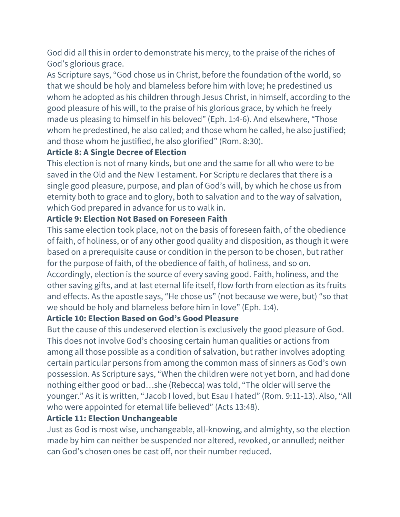God did all this in order to demonstrate his mercy, to the praise of the riches of God's glorious grace.

As Scripture says, "God chose us in Christ, before the foundation of the world, so that we should be holy and blameless before him with love; he predestined us whom he adopted as his children through Jesus Christ, in himself, according to the good pleasure of his will, to the praise of his glorious grace, by which he freely made us pleasing to himself in his beloved" (Eph. 1:4-6). And elsewhere, "Those whom he predestined, he also called; and those whom he called, he also justified; and those whom he justified, he also glorified" (Rom. 8:30).

#### **Article 8: A Single Decree of Election**

This election is not of many kinds, but one and the same for all who were to be saved in the Old and the New Testament. For Scripture declares that there is a single good pleasure, purpose, and plan of God's will, by which he chose us from eternity both to grace and to glory, both to salvation and to the way of salvation, which God prepared in advance for us to walk in.

#### **Article 9: Election Not Based on Foreseen Faith**

This same election took place, not on the basis of foreseen faith, of the obedience of faith, of holiness, or of any other good quality and disposition, as though it were based on a prerequisite cause or condition in the person to be chosen, but rather for the purpose of faith, of the obedience of faith, of holiness, and so on. Accordingly, election is the source of every saving good. Faith, holiness, and the other saving gifts, and at last eternal life itself, flow forth from election as its fruits and effects. As the apostle says, "He chose us" (not because we were, but) "so that we should be holy and blameless before him in love" (Eph. 1:4).

#### **Article 10: Election Based on God's Good Pleasure**

But the cause of this undeserved election is exclusively the good pleasure of God. This does not involve God's choosing certain human qualities or actions from among all those possible as a condition of salvation, but rather involves adopting certain particular persons from among the common mass of sinners as God's own possession. As Scripture says, "When the children were not yet born, and had done nothing either good or bad…she (Rebecca) was told, "The older will serve the younger." As it is written, "Jacob I loved, but Esau I hated" (Rom. 9:11-13). Also, "All who were appointed for eternal life believed" (Acts 13:48).

#### **Article 11: Election Unchangeable**

Just as God is most wise, unchangeable, all-knowing, and almighty, so the election made by him can neither be suspended nor altered, revoked, or annulled; neither can God's chosen ones be cast off, nor their number reduced.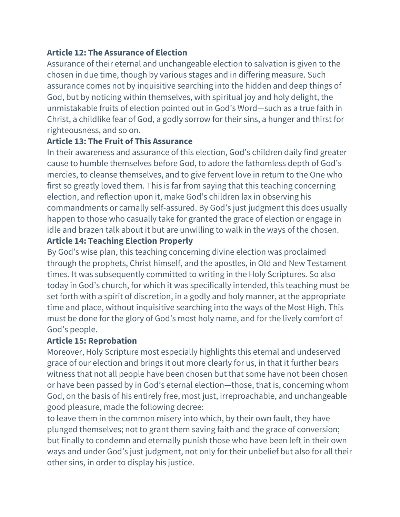#### **Article 12: The Assurance of Election**

Assurance of their eternal and unchangeable election to salvation is given to the chosen in due time, though by various stages and in differing measure. Such assurance comes not by inquisitive searching into the hidden and deep things of God, but by noticing within themselves, with spiritual joy and holy delight, the unmistakable fruits of election pointed out in God's Word—such as a true faith in Christ, a childlike fear of God, a godly sorrow for their sins, a hunger and thirst for righteousness, and so on.

#### **Article 13: The Fruit of This Assurance**

In their awareness and assurance of this election, God's children daily find greater cause to humble themselves before God, to adore the fathomless depth of God's mercies, to cleanse themselves, and to give fervent love in return to the One who first so greatly loved them. This is far from saying that this teaching concerning election, and reflection upon it, make God's children lax in observing his commandments or carnally self-assured. By God's just judgment this does usually happen to those who casually take for granted the grace of election or engage in idle and brazen talk about it but are unwilling to walk in the ways of the chosen.

#### **Article 14: Teaching Election Properly**

By God's wise plan, this teaching concerning divine election was proclaimed through the prophets, Christ himself, and the apostles, in Old and New Testament times. It was subsequently committed to writing in the Holy Scriptures. So also today in God's church, for which it was specifically intended, this teaching must be set forth with a spirit of discretion, in a godly and holy manner, at the appropriate time and place, without inquisitive searching into the ways of the Most High. This must be done for the glory of God's most holy name, and for the lively comfort of God's people.

#### **Article 15: Reprobation**

Moreover, Holy Scripture most especially highlights this eternal and undeserved grace of our election and brings it out more clearly for us, in that it further bears witness that not all people have been chosen but that some have not been chosen or have been passed by in God's eternal election—those, that is, concerning whom God, on the basis of his entirely free, most just, irreproachable, and unchangeable good pleasure, made the following decree:

to leave them in the common misery into which, by their own fault, they have plunged themselves; not to grant them saving faith and the grace of conversion; but finally to condemn and eternally punish those who have been left in their own ways and under God's just judgment, not only for their unbelief but also for all their other sins, in order to display his justice.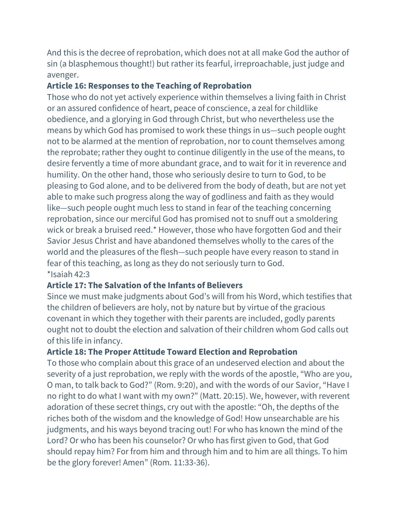And this is the decree of reprobation, which does not at all make God the author of sin (a blasphemous thought!) but rather its fearful, irreproachable, just judge and avenger.

#### **Article 16: Responses to the Teaching of Reprobation**

Those who do not yet actively experience within themselves a living faith in Christ or an assured confidence of heart, peace of conscience, a zeal for childlike obedience, and a glorying in God through Christ, but who nevertheless use the means by which God has promised to work these things in us—such people ought not to be alarmed at the mention of reprobation, nor to count themselves among the reprobate; rather they ought to continue diligently in the use of the means, to desire fervently a time of more abundant grace, and to wait for it in reverence and humility. On the other hand, those who seriously desire to turn to God, to be pleasing to God alone, and to be delivered from the body of death, but are not yet able to make such progress along the way of godliness and faith as they would like—such people ought much less to stand in fear of the teaching concerning reprobation, since our merciful God has promised not to snuff out a smoldering wick or break a bruised reed.\* However, those who have forgotten God and their Savior Jesus Christ and have abandoned themselves wholly to the cares of the world and the pleasures of the flesh—such people have every reason to stand in fear of this teaching, as long as they do not seriously turn to God. \*Isaiah 42:3

#### **Article 17: The Salvation of the Infants of Believers**

Since we must make judgments about God's will from his Word, which testifies that the children of believers are holy, not by nature but by virtue of the gracious covenant in which they together with their parents are included, godly parents ought not to doubt the election and salvation of their children whom God calls out of this life in infancy.

#### **Article 18: The Proper Attitude Toward Election and Reprobation**

To those who complain about this grace of an undeserved election and about the severity of a just reprobation, we reply with the words of the apostle, "Who are you, O man, to talk back to God?" (Rom. 9:20), and with the words of our Savior, "Have I no right to do what I want with my own?" (Matt. 20:15). We, however, with reverent adoration of these secret things, cry out with the apostle: "Oh, the depths of the riches both of the wisdom and the knowledge of God! How unsearchable are his judgments, and his ways beyond tracing out! For who has known the mind of the Lord? Or who has been his counselor? Or who has first given to God, that God should repay him? For from him and through him and to him are all things. To him be the glory forever! Amen" (Rom. 11:33-36).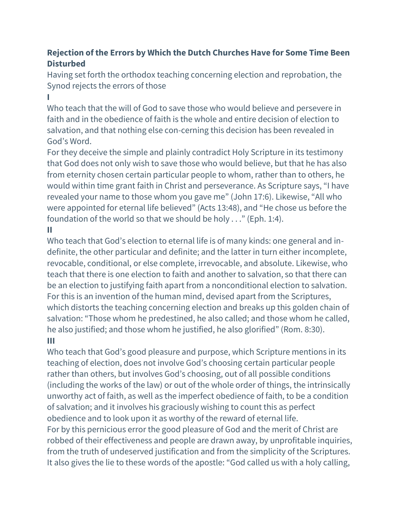#### **Rejection of the Errors by Which the Dutch Churches Have for Some Time Been Disturbed**

Having set forth the orthodox teaching concerning election and reprobation, the Synod rejects the errors of those

**I**

Who teach that the will of God to save those who would believe and persevere in faith and in the obedience of faith is the whole and entire decision of election to salvation, and that nothing else con-cerning this decision has been revealed in God's Word.

For they deceive the simple and plainly contradict Holy Scripture in its testimony that God does not only wish to save those who would believe, but that he has also from eternity chosen certain particular people to whom, rather than to others, he would within time grant faith in Christ and perseverance. As Scripture says, "I have revealed your name to those whom you gave me" (John 17:6). Likewise, "All who were appointed for eternal life believed" (Acts 13:48), and "He chose us before the foundation of the world so that we should be holy . . ." (Eph. 1:4).

#### **II**

Who teach that God's election to eternal life is of many kinds: one general and indefinite, the other particular and definite; and the latter in turn either incomplete, revocable, conditional, or else complete, irrevocable, and absolute. Likewise, who teach that there is one election to faith and another to salvation, so that there can be an election to justifying faith apart from a nonconditional election to salvation. For this is an invention of the human mind, devised apart from the Scriptures, which distorts the teaching concerning election and breaks up this golden chain of salvation: "Those whom he predestined, he also called; and those whom he called, he also justified; and those whom he justified, he also glorified" (Rom. 8:30).

#### **III**

Who teach that God's good pleasure and purpose, which Scripture mentions in its teaching of election, does not involve God's choosing certain particular people rather than others, but involves God's choosing, out of all possible conditions (including the works of the law) or out of the whole order of things, the intrinsically unworthy act of faith, as well as the imperfect obedience of faith, to be a condition of salvation; and it involves his graciously wishing to count this as perfect obedience and to look upon it as worthy of the reward of eternal life. For by this pernicious error the good pleasure of God and the merit of Christ are robbed of their effectiveness and people are drawn away, by unprofitable inquiries, from the truth of undeserved justification and from the simplicity of the Scriptures. It also gives the lie to these words of the apostle: "God called us with a holy calling,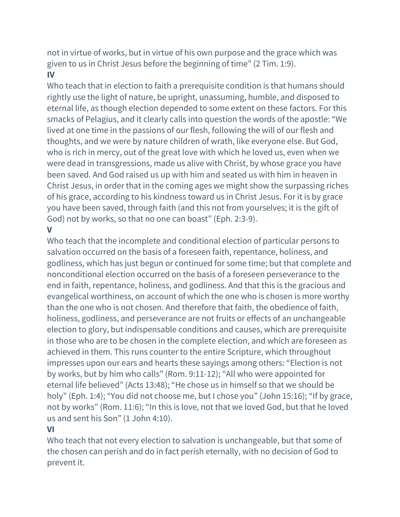not in virtue of works, but in virtue of his own purpose and the grace which was given to us in Christ Jesus before the beginning of time" (2 Tim. 1:9). **IV**

Who teach that in election to faith a prerequisite condition is that humans should rightly use the light of nature, be upright, unassuming, humble, and disposed to eternal life, as though election depended to some extent on these factors. For this smacks of Pelagius, and it clearly calls into question the words of the apostle: "We lived at one time in the passions of our flesh, following the will of our flesh and thoughts, and we were by nature children of wrath, like everyone else. But God, who is rich in mercy, out of the great love with which he loved us, even when we were dead in transgressions, made us alive with Christ, by whose grace you have been saved. And God raised us up with him and seated us with him in heaven in Christ Jesus, in order that in the coming ages we might show the surpassing riches of his grace, according to his kindness toward us in Christ Jesus. For it is by grace you have been saved, through faith (and this not from yourselves; it is the gift of God) not by works, so that no one can boast" (Eph. 2:3-9).

#### **V**

Who teach that the incomplete and conditional election of particular persons to salvation occurred on the basis of a foreseen faith, repentance, holiness, and godliness, which has just begun or continued for some time; but that complete and nonconditional election occurred on the basis of a foreseen perseverance to the end in faith, repentance, holiness, and godliness. And that this is the gracious and evangelical worthiness, on account of which the one who is chosen is more worthy than the one who is not chosen. And therefore that faith, the obedience of faith, holiness, godliness, and perseverance are not fruits or effects of an unchangeable election to glory, but indispensable conditions and causes, which are prerequisite in those who are to be chosen in the complete election, and which are foreseen as achieved in them. This runs counter to the entire Scripture, which throughout impresses upon our ears and hearts these sayings among others: "Election is not by works, but by him who calls" (Rom. 9:11-12); "All who were appointed for eternal life believed" (Acts 13:48); "He chose us in himself so that we should be holy" (Eph. 1:4); "You did not choose me, but I chose you" (John 15:16); "If by grace, not by works" (Rom. 11:6); "In this is love, not that we loved God, but that he loved us and sent his Son" (1 John 4:10).

#### **VI**

Who teach that not every election to salvation is unchangeable, but that some of the chosen can perish and do in fact perish eternally, with no decision of God to prevent it.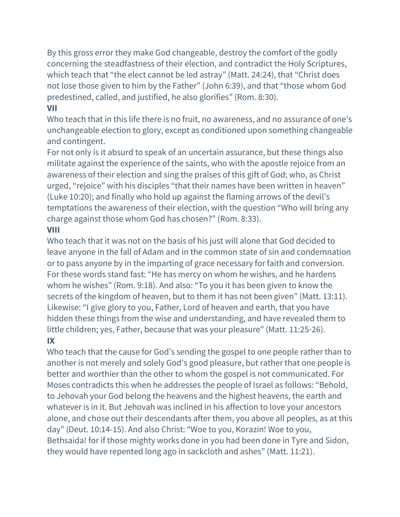By this gross error they make God changeable, destroy the comfort of the godly concerning the steadfastness of their election, and contradict the Holy Scriptures, which teach that "the elect cannot be led astray" (Matt. 24:24), that "Christ does not lose those given to him by the Father" (John 6:39), and that "those whom God predestined, called, and justified, he also glorifies" (Rom. 8:30).

#### **VII**

Who teach that in this life there is no fruit, no awareness, and no assurance of one's unchangeable election to glory, except as conditioned upon something changeable and contingent.

For not only is it absurd to speak of an uncertain assurance, but these things also militate against the experience of the saints, who with the apostle rejoice from an awareness of their election and sing the praises of this gift of God; who, as Christ urged, "rejoice" with his disciples "that their names have been written in heaven" (Luke 10:20); and finally who hold up against the flaming arrows of the devil's temptations the awareness of their election, with the question "Who will bring any charge against those whom God has chosen?" (Rom. 8:33).

#### **VIII**

Who teach that it was not on the basis of his just will alone that God decided to leave anyone in the fall of Adam and in the common state of sin and condemnation or to pass anyone by in the imparting of grace necessary for faith and conversion. For these words stand fast: "He has mercy on whom he wishes, and he hardens whom he wishes" (Rom. 9:18). And also: "To you it has been given to know the secrets of the kingdom of heaven, but to them it has not been given" (Matt. 13:11). Likewise: "I give glory to you, Father, Lord of heaven and earth, that you have hidden these things from the wise and understanding, and have revealed them to little children; yes, Father, because that was your pleasure" (Matt. 11:25-26).

#### **IX**

Who teach that the cause for God's sending the gospel to one people rather than to another is not merely and solely God's good pleasure, but rather that one people is better and worthier than the other to whom the gospel is not communicated. For Moses contradicts this when he addresses the people of Israel as follows: "Behold, to Jehovah your God belong the heavens and the highest heavens, the earth and whatever is in it. But Jehovah was inclined in his affection to love your ancestors alone, and chose out their descendants after them, you above all peoples, as at this day" (Deut. 10:14-15). And also Christ: "Woe to you, Korazin! Woe to you, Bethsaida! for if those mighty works done in you had been done in Tyre and Sidon, they would have repented long ago in sackcloth and ashes" (Matt. 11:21).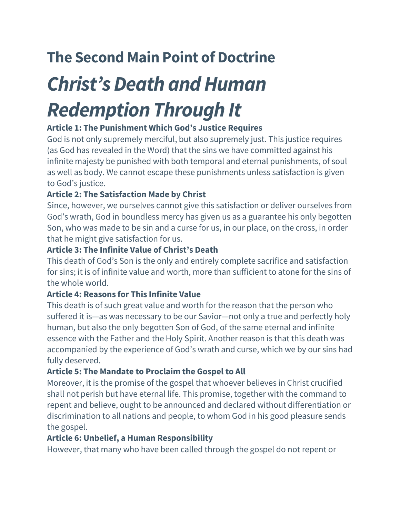### **The Second Main Point of Doctrine**

# *Christ's* Death and Human

# *Redemption Through It*

#### **Article 1: The Punishment Which God's Justice Requires**

God is not only supremely merciful, but also supremely just. This justice requires (as God has revealed in the Word) that the sins we have committed against his infinite majesty be punished with both temporal and eternal punishments, of soul as well as body. We cannot escape these punishments unless satisfaction is given to God's justice.

#### **Article 2: The Satisfaction Made by Christ**

Since, however, we ourselves cannot give this satisfaction or deliver ourselves from God's wrath, God in boundless mercy has given us as a guarantee his only begotten Son, who was made to be sin and a curse for us, in our place, on the cross, in order that he might give satisfaction for us.

#### **Article 3: The Infinite Value of Christ's Death**

This death of God's Son is the only and entirely complete sacrifice and satisfaction for sins; it is of infinite value and worth, more than sufficient to atone for the sins of the whole world.

#### **Article 4: Reasons for This Infinite Value**

This death is of such great value and worth for the reason that the person who suffered it is—as was necessary to be our Savior—not only a true and perfectly holy human, but also the only begotten Son of God, of the same eternal and infinite essence with the Father and the Holy Spirit. Another reason is that this death was accompanied by the experience of God's wrath and curse, which we by our sins had fully deserved.

#### **Article 5: The Mandate to Proclaim the Gospel to All**

Moreover, it is the promise of the gospel that whoever believes in Christ crucified shall not perish but have eternal life. This promise, together with the command to repent and believe, ought to be announced and declared without differentiation or discrimination to all nations and people, to whom God in his good pleasure sends the gospel.

#### **Article 6: Unbelief, a Human Responsibility**

However, that many who have been called through the gospel do not repent or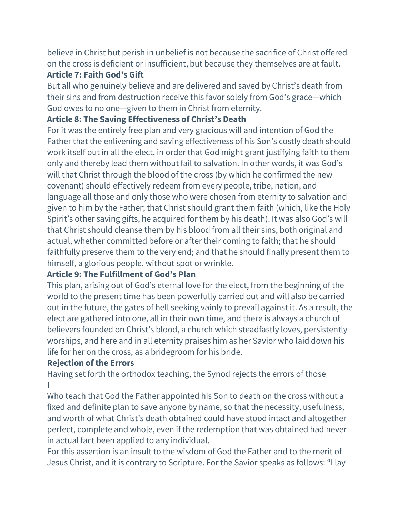believe in Christ but perish in unbelief is not because the sacrifice of Christ offered on the cross is deficient or insufficient, but because they themselves are at fault.

#### **Article 7: Faith God's Gift**

But all who genuinely believe and are delivered and saved by Christ's death from their sins and from destruction receive this favor solely from God's grace—which God owes to no one—given to them in Christ from eternity.

#### **Article 8: The Saving Effectiveness of Christ's Death**

For it was the entirely free plan and very gracious will and intention of God the Father that the enlivening and saving effectiveness of his Son's costly death should work itself out in all the elect, in order that God might grant justifying faith to them only and thereby lead them without fail to salvation. In other words, it was God's will that Christ through the blood of the cross (by which he confirmed the new covenant) should effectively redeem from every people, tribe, nation, and language all those and only those who were chosen from eternity to salvation and given to him by the Father; that Christ should grant them faith (which, like the Holy Spirit's other saving gifts, he acquired for them by his death). It was also God's will that Christ should cleanse them by his blood from all their sins, both original and actual, whether committed before or after their coming to faith; that he should faithfully preserve them to the very end; and that he should finally present them to himself, a glorious people, without spot or wrinkle.

#### **Article 9: The Fulfillment of God's Plan**

This plan, arising out of God's eternal love for the elect, from the beginning of the world to the present time has been powerfully carried out and will also be carried out in the future, the gates of hell seeking vainly to prevail against it. As a result, the elect are gathered into one, all in their own time, and there is always a church of believers founded on Christ's blood, a church which steadfastly loves, persistently worships, and here and in all eternity praises him as her Savior who laid down his life for her on the cross, as a bridegroom for his bride.

#### **Rejection of the Errors**

Having set forth the orthodox teaching, the Synod rejects the errors of those **I**

Who teach that God the Father appointed his Son to death on the cross without a fixed and definite plan to save anyone by name, so that the necessity, usefulness, and worth of what Christ's death obtained could have stood intact and altogether perfect, complete and whole, even if the redemption that was obtained had never in actual fact been applied to any individual.

For this assertion is an insult to the wisdom of God the Father and to the merit of Jesus Christ, and it is contrary to Scripture. For the Savior speaks as follows: "I lay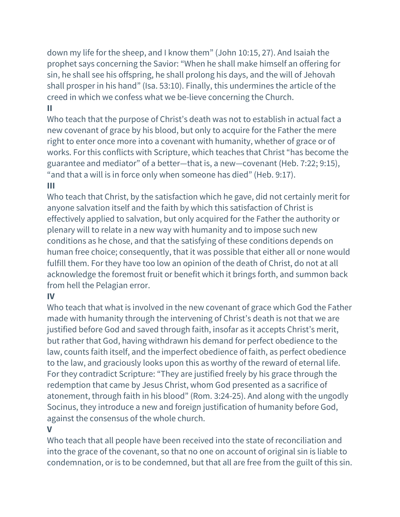down my life for the sheep, and I know them" (John 10:15, 27). And Isaiah the prophet says concerning the Savior: "When he shall make himself an offering for sin, he shall see his offspring, he shall prolong his days, and the will of Jehovah shall prosper in his hand" (Isa. 53:10). Finally, this undermines the article of the creed in which we confess what we be-lieve concerning the Church.

#### **II**

Who teach that the purpose of Christ's death was not to establish in actual fact a new covenant of grace by his blood, but only to acquire for the Father the mere right to enter once more into a covenant with humanity, whether of grace or of works. For this conflicts with Scripture, which teaches that Christ "has become the guarantee and mediator" of a better—that is, a new—covenant (Heb. 7:22; 9:15), "and that a will is in force only when someone has died" (Heb. 9:17).

#### **III**

Who teach that Christ, by the satisfaction which he gave, did not certainly merit for anyone salvation itself and the faith by which this satisfaction of Christ is effectively applied to salvation, but only acquired for the Father the authority or plenary will to relate in a new way with humanity and to impose such new conditions as he chose, and that the satisfying of these conditions depends on human free choice; consequently, that it was possible that either all or none would fulfill them. For they have too low an opinion of the death of Christ, do not at all acknowledge the foremost fruit or benefit which it brings forth, and summon back from hell the Pelagian error.

#### **IV**

Who teach that what is involved in the new covenant of grace which God the Father made with humanity through the intervening of Christ's death is not that we are justified before God and saved through faith, insofar as it accepts Christ's merit, but rather that God, having withdrawn his demand for perfect obedience to the law, counts faith itself, and the imperfect obedience of faith, as perfect obedience to the law, and graciously looks upon this as worthy of the reward of eternal life. For they contradict Scripture: "They are justified freely by his grace through the redemption that came by Jesus Christ, whom God presented as a sacrifice of atonement, through faith in his blood" (Rom. 3:24-25). And along with the ungodly Socinus, they introduce a new and foreign justification of humanity before God, against the consensus of the whole church.

#### **V**

Who teach that all people have been received into the state of reconciliation and into the grace of the covenant, so that no one on account of original sin is liable to condemnation, or is to be condemned, but that all are free from the guilt of this sin.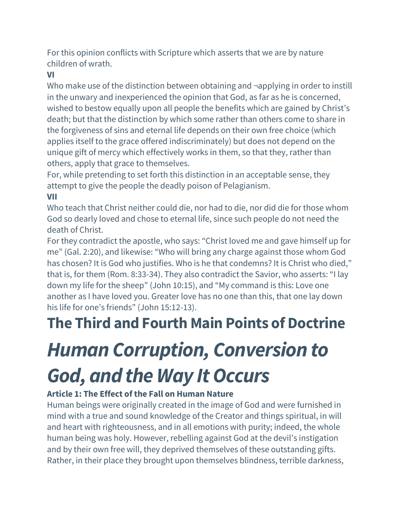For this opinion conflicts with Scripture which asserts that we are by nature children of wrath.

#### **VI**

Who make use of the distinction between obtaining and ¬applying in order to instill in the unwary and inexperienced the opinion that God, as far as he is concerned, wished to bestow equally upon all people the benefits which are gained by Christ's death; but that the distinction by which some rather than others come to share in the forgiveness of sins and eternal life depends on their own free choice (which applies itself to the grace offered indiscriminately) but does not depend on the unique gift of mercy which effectively works in them, so that they, rather than others, apply that grace to themselves.

For, while pretending to set forth this distinction in an acceptable sense, they attempt to give the people the deadly poison of Pelagianism.

#### **VII**

Who teach that Christ neither could die, nor had to die, nor did die for those whom God so dearly loved and chose to eternal life, since such people do not need the death of Christ.

For they contradict the apostle, who says: "Christ loved me and gave himself up for me" (Gal. 2:20), and likewise: "Who will bring any charge against those whom God has chosen? It is God who justifies. Who is he that condemns? It is Christ who died," that is, for them (Rom. 8:33-34). They also contradict the Savior, who asserts: "I lay down my life for the sheep" (John 10:15), and "My command is this: Love one another as I have loved you. Greater love has no one than this, that one lay down his life for one's friends" (John 15:12-13).

### **The Third and Fourth Main Points of Doctrine**

# *Human Corruption, Conversion to* **God, and the Way It Occurs**

#### **Article 1: The Effect of the Fall on Human Nature**

Human beings were originally created in the image of God and were furnished in mind with a true and sound knowledge of the Creator and things spiritual, in will and heart with righteousness, and in all emotions with purity; indeed, the whole human being was holy. However, rebelling against God at the devil's instigation and by their own free will, they deprived themselves of these outstanding gifts. Rather, in their place they brought upon themselves blindness, terrible darkness,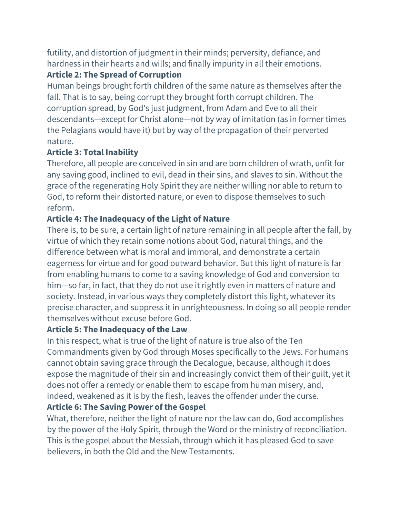futility, and distortion of judgment in their minds; perversity, defiance, and hardness in their hearts and wills; and finally impurity in all their emotions.

#### **Article 2: The Spread of Corruption**

Human beings brought forth children of the same nature as themselves after the fall. That is to say, being corrupt they brought forth corrupt children. The corruption spread, by God's just judgment, from Adam and Eve to all their descendants—except for Christ alone—not by way of imitation (as in former times the Pelagians would have it) but by way of the propagation of their perverted nature.

#### **Article 3: Total Inability**

Therefore, all people are conceived in sin and are born children of wrath, unfit for any saving good, inclined to evil, dead in their sins, and slaves to sin. Without the grace of the regenerating Holy Spirit they are neither willing nor able to return to God, to reform their distorted nature, or even to dispose themselves to such reform.

#### **Article 4: The Inadequacy of the Light of Nature**

There is, to be sure, a certain light of nature remaining in all people after the fall, by virtue of which they retain some notions about God, natural things, and the difference between what is moral and immoral, and demonstrate a certain eagerness for virtue and for good outward behavior. But this light of nature is far from enabling humans to come to a saving knowledge of God and conversion to him—so far, in fact, that they do not use it rightly even in matters of nature and society. Instead, in various ways they completely distort this light, whatever its precise character, and suppress it in unrighteousness. In doing so all people render themselves without excuse before God.

#### **Article 5: The Inadequacy of the Law**

In this respect, what is true of the light of nature is true also of the Ten Commandments given by God through Moses specifically to the Jews. For humans cannot obtain saving grace through the Decalogue, because, although it does expose the magnitude of their sin and increasingly convict them of their guilt, yet it does not offer a remedy or enable them to escape from human misery, and, indeed, weakened as it is by the flesh, leaves the offender under the curse.

#### **Article 6: The Saving Power of the Gospel**

What, therefore, neither the light of nature nor the law can do, God accomplishes by the power of the Holy Spirit, through the Word or the ministry of reconciliation. This is the gospel about the Messiah, through which it has pleased God to save believers, in both the Old and the New Testaments.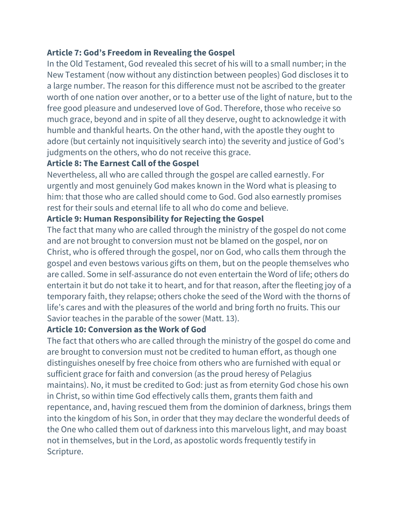#### **Article 7: God's Freedom in Revealing the Gospel**

In the Old Testament, God revealed this secret of his will to a small number; in the New Testament (now without any distinction between peoples) God discloses it to a large number. The reason for this difference must not be ascribed to the greater worth of one nation over another, or to a better use of the light of nature, but to the free good pleasure and undeserved love of God. Therefore, those who receive so much grace, beyond and in spite of all they deserve, ought to acknowledge it with humble and thankful hearts. On the other hand, with the apostle they ought to adore (but certainly not inquisitively search into) the severity and justice of God's judgments on the others, who do not receive this grace.

#### **Article 8: The Earnest Call of the Gospel**

Nevertheless, all who are called through the gospel are called earnestly. For urgently and most genuinely God makes known in the Word what is pleasing to him: that those who are called should come to God. God also earnestly promises rest for their souls and eternal life to all who do come and believe.

#### **Article 9: Human Responsibility for Rejecting the Gospel**

The fact that many who are called through the ministry of the gospel do not come and are not brought to conversion must not be blamed on the gospel, nor on Christ, who is offered through the gospel, nor on God, who calls them through the gospel and even bestows various gifts on them, but on the people themselves who are called. Some in self-assurance do not even entertain the Word of life; others do entertain it but do not take it to heart, and for that reason, after the fleeting joy of a temporary faith, they relapse; others choke the seed of the Word with the thorns of life's cares and with the pleasures of the world and bring forth no fruits. This our Savior teaches in the parable of the sower (Matt. 13).

#### **Article 10: Conversion as the Work of God**

The fact that others who are called through the ministry of the gospel do come and are brought to conversion must not be credited to human effort, as though one distinguishes oneself by free choice from others who are furnished with equal or sufficient grace for faith and conversion (as the proud heresy of Pelagius maintains). No, it must be credited to God: just as from eternity God chose his own in Christ, so within time God effectively calls them, grants them faith and repentance, and, having rescued them from the dominion of darkness, brings them into the kingdom of his Son, in order that they may declare the wonderful deeds of the One who called them out of darkness into this marvelous light, and may boast not in themselves, but in the Lord, as apostolic words frequently testify in Scripture.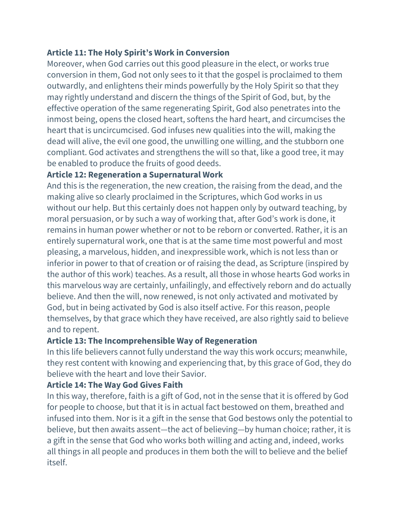#### **Article 11: The Holy Spirit's Work in Conversion**

Moreover, when God carries out this good pleasure in the elect, or works true conversion in them, God not only sees to it that the gospel is proclaimed to them outwardly, and enlightens their minds powerfully by the Holy Spirit so that they may rightly understand and discern the things of the Spirit of God, but, by the effective operation of the same regenerating Spirit, God also penetrates into the inmost being, opens the closed heart, softens the hard heart, and circumcises the heart that is uncircumcised. God infuses new qualities into the will, making the dead will alive, the evil one good, the unwilling one willing, and the stubborn one compliant. God activates and strengthens the will so that, like a good tree, it may be enabled to produce the fruits of good deeds.

#### **Article 12: Regeneration a Supernatural Work**

And this is the regeneration, the new creation, the raising from the dead, and the making alive so clearly proclaimed in the Scriptures, which God works in us without our help. But this certainly does not happen only by outward teaching, by moral persuasion, or by such a way of working that, after God's work is done, it remains in human power whether or not to be reborn or converted. Rather, it is an entirely supernatural work, one that is at the same time most powerful and most pleasing, a marvelous, hidden, and inexpressible work, which is not less than or inferior in power to that of creation or of raising the dead, as Scripture (inspired by the author of this work) teaches. As a result, all those in whose hearts God works in this marvelous way are certainly, unfailingly, and effectively reborn and do actually believe. And then the will, now renewed, is not only activated and motivated by God, but in being activated by God is also itself active. For this reason, people themselves, by that grace which they have received, are also rightly said to believe and to repent.

#### **Article 13: The Incomprehensible Way of Regeneration**

In this life believers cannot fully understand the way this work occurs; meanwhile, they rest content with knowing and experiencing that, by this grace of God, they do believe with the heart and love their Savior.

#### **Article 14: The Way God Gives Faith**

In this way, therefore, faith is a gift of God, not in the sense that it is offered by God for people to choose, but that it is in actual fact bestowed on them, breathed and infused into them. Nor is it a gift in the sense that God bestows only the potential to believe, but then awaits assent—the act of believing—by human choice; rather, it is a gift in the sense that God who works both willing and acting and, indeed, works all things in all people and produces in them both the will to believe and the belief itself.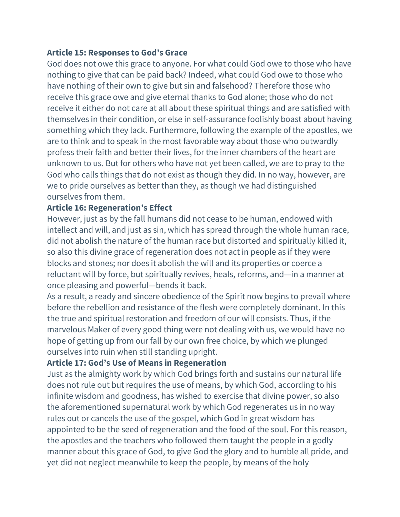#### **Article 15: Responses to God's Grace**

God does not owe this grace to anyone. For what could God owe to those who have nothing to give that can be paid back? Indeed, what could God owe to those who have nothing of their own to give but sin and falsehood? Therefore those who receive this grace owe and give eternal thanks to God alone; those who do not receive it either do not care at all about these spiritual things and are satisfied with themselves in their condition, or else in self-assurance foolishly boast about having something which they lack. Furthermore, following the example of the apostles, we are to think and to speak in the most favorable way about those who outwardly profess their faith and better their lives, for the inner chambers of the heart are unknown to us. But for others who have not yet been called, we are to pray to the God who calls things that do not exist as though they did. In no way, however, are we to pride ourselves as better than they, as though we had distinguished ourselves from them.

#### **Article 16: Regeneration's Effect**

However, just as by the fall humans did not cease to be human, endowed with intellect and will, and just as sin, which has spread through the whole human race, did not abolish the nature of the human race but distorted and spiritually killed it, so also this divine grace of regeneration does not act in people as if they were blocks and stones; nor does it abolish the will and its properties or coerce a reluctant will by force, but spiritually revives, heals, reforms, and—in a manner at once pleasing and powerful—bends it back.

As a result, a ready and sincere obedience of the Spirit now begins to prevail where before the rebellion and resistance of the flesh were completely dominant. In this the true and spiritual restoration and freedom of our will consists. Thus, if the marvelous Maker of every good thing were not dealing with us, we would have no hope of getting up from our fall by our own free choice, by which we plunged ourselves into ruin when still standing upright.

#### **Article 17: God's Use of Means in Regeneration**

Just as the almighty work by which God brings forth and sustains our natural life does not rule out but requires the use of means, by which God, according to his infinite wisdom and goodness, has wished to exercise that divine power, so also the aforementioned supernatural work by which God regenerates us in no way rules out or cancels the use of the gospel, which God in great wisdom has appointed to be the seed of regeneration and the food of the soul. For this reason, the apostles and the teachers who followed them taught the people in a godly manner about this grace of God, to give God the glory and to humble all pride, and yet did not neglect meanwhile to keep the people, by means of the holy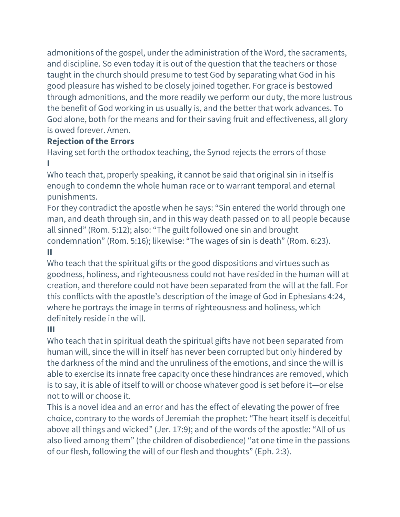admonitions of the gospel, under the administration of the Word, the sacraments, and discipline. So even today it is out of the question that the teachers or those taught in the church should presume to test God by separating what God in his good pleasure has wished to be closely joined together. For grace is bestowed through admonitions, and the more readily we perform our duty, the more lustrous the benefit of God working in us usually is, and the better that work advances. To God alone, both for the means and for their saving fruit and effectiveness, all glory is owed forever. Amen.

#### **Rejection of the Errors**

Having set forth the orthodox teaching, the Synod rejects the errors of those **I**

Who teach that, properly speaking, it cannot be said that original sin in itself is enough to condemn the whole human race or to warrant temporal and eternal punishments.

For they contradict the apostle when he says: "Sin entered the world through one man, and death through sin, and in this way death passed on to all people because all sinned" (Rom. 5:12); also: "The guilt followed one sin and brought condemnation" (Rom. 5:16); likewise: "The wages of sin is death" (Rom. 6:23). **II**

Who teach that the spiritual gifts or the good dispositions and virtues such as goodness, holiness, and righteousness could not have resided in the human will at creation, and therefore could not have been separated from the will at the fall. For this conflicts with the apostle's description of the image of God in Ephesians 4:24, where he portrays the image in terms of righteousness and holiness, which definitely reside in the will.

#### **III**

Who teach that in spiritual death the spiritual gifts have not been separated from human will, since the will in itself has never been corrupted but only hindered by the darkness of the mind and the unruliness of the emotions, and since the will is able to exercise its innate free capacity once these hindrances are removed, which is to say, it is able of itself to will or choose whatever good is set before it—or else not to will or choose it.

This is a novel idea and an error and has the effect of elevating the power of free choice, contrary to the words of Jeremiah the prophet: "The heart itself is deceitful above all things and wicked" (Jer. 17:9); and of the words of the apostle: "All of us also lived among them" (the children of disobedience) "at one time in the passions of our flesh, following the will of our flesh and thoughts" (Eph. 2:3).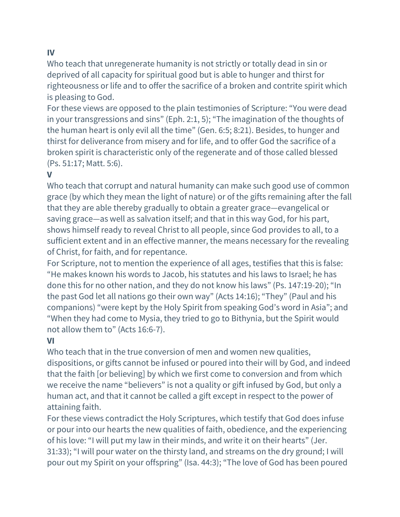#### **IV**

Who teach that unregenerate humanity is not strictly or totally dead in sin or deprived of all capacity for spiritual good but is able to hunger and thirst for righteousness or life and to offer the sacrifice of a broken and contrite spirit which is pleasing to God.

For these views are opposed to the plain testimonies of Scripture: "You were dead in your transgressions and sins" (Eph. 2:1, 5); "The imagination of the thoughts of the human heart is only evil all the time" (Gen. 6:5; 8:21). Besides, to hunger and thirst for deliverance from misery and for life, and to offer God the sacrifice of a broken spirit is characteristic only of the regenerate and of those called blessed (Ps. 51:17; Matt. 5:6).

#### **V**

Who teach that corrupt and natural humanity can make such good use of common grace (by which they mean the light of nature) or of the gifts remaining after the fall that they are able thereby gradually to obtain a greater grace—evangelical or saving grace—as well as salvation itself; and that in this way God, for his part, shows himself ready to reveal Christ to all people, since God provides to all, to a sufficient extent and in an effective manner, the means necessary for the revealing of Christ, for faith, and for repentance.

For Scripture, not to mention the experience of all ages, testifies that this is false: "He makes known his words to Jacob, his statutes and his laws to Israel; he has done this for no other nation, and they do not know his laws" (Ps. 147:19-20); "In the past God let all nations go their own way" (Acts 14:16); "They" (Paul and his companions) "were kept by the Holy Spirit from speaking God's word in Asia"; and "When they had come to Mysia, they tried to go to Bithynia, but the Spirit would not allow them to" (Acts 16:6-7).

#### **VI**

Who teach that in the true conversion of men and women new qualities, dispositions, or gifts cannot be infused or poured into their will by God, and indeed that the faith [or believing] by which we first come to conversion and from which we receive the name "believers" is not a quality or gift infused by God, but only a human act, and that it cannot be called a gift except in respect to the power of attaining faith.

For these views contradict the Holy Scriptures, which testify that God does infuse or pour into our hearts the new qualities of faith, obedience, and the experiencing of his love: "I will put my law in their minds, and write it on their hearts" (Jer. 31:33); "I will pour water on the thirsty land, and streams on the dry ground; I will pour out my Spirit on your offspring" (Isa. 44:3); "The love of God has been poured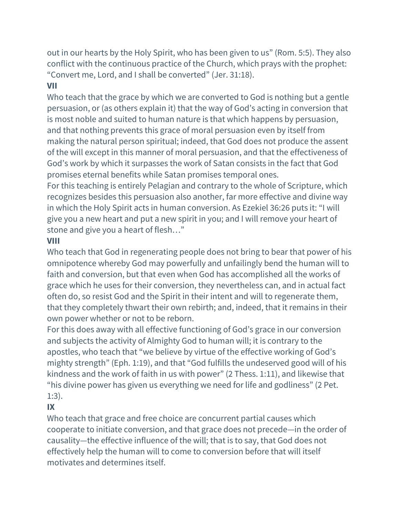out in our hearts by the Holy Spirit, who has been given to us" (Rom. 5:5). They also conflict with the continuous practice of the Church, which prays with the prophet: "Convert me, Lord, and I shall be converted" (Jer. 31:18).

#### **VII**

Who teach that the grace by which we are converted to God is nothing but a gentle persuasion, or (as others explain it) that the way of God's acting in conversion that is most noble and suited to human nature is that which happens by persuasion, and that nothing prevents this grace of moral persuasion even by itself from making the natural person spiritual; indeed, that God does not produce the assent of the will except in this manner of moral persuasion, and that the effectiveness of God's work by which it surpasses the work of Satan consists in the fact that God promises eternal benefits while Satan promises temporal ones.

For this teaching is entirely Pelagian and contrary to the whole of Scripture, which recognizes besides this persuasion also another, far more effective and divine way in which the Holy Spirit acts in human conversion. As Ezekiel 36:26 puts it: "I will give you a new heart and put a new spirit in you; and I will remove your heart of stone and give you a heart of flesh…"

#### **VIII**

Who teach that God in regenerating people does not bring to bear that power of his omnipotence whereby God may powerfully and unfailingly bend the human will to faith and conversion, but that even when God has accomplished all the works of grace which he uses for their conversion, they nevertheless can, and in actual fact often do, so resist God and the Spirit in their intent and will to regenerate them, that they completely thwart their own rebirth; and, indeed, that it remains in their own power whether or not to be reborn.

For this does away with all effective functioning of God's grace in our conversion and subjects the activity of Almighty God to human will; it is contrary to the apostles, who teach that "we believe by virtue of the effective working of God's mighty strength" (Eph. 1:19), and that "God fulfills the undeserved good will of his kindness and the work of faith in us with power" (2 Thess. 1:11), and likewise that "his divine power has given us everything we need for life and godliness" (2 Pet. 1:3).

#### **IX**

Who teach that grace and free choice are concurrent partial causes which cooperate to initiate conversion, and that grace does not precede—in the order of causality—the effective influence of the will; that is to say, that God does not effectively help the human will to come to conversion before that will itself motivates and determines itself.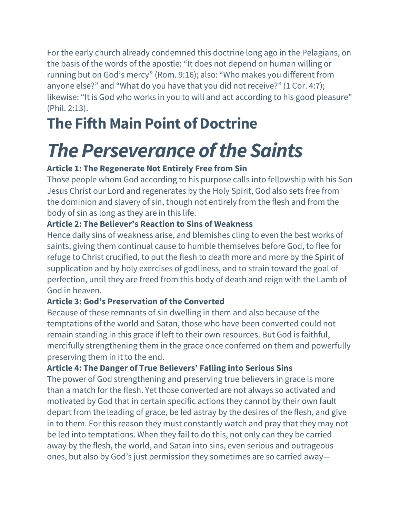For the early church already condemned this doctrine long ago in the Pelagians, on the basis of the words of the apostle: "It does not depend on human willing or running but on God's mercy" (Rom. 9:16); also: "Who makes you different from anyone else?" and "What do you have that you did not receive?" (1 Cor. 4:7); likewise: "It is God who works in you to will and act according to his good pleasure" (Phil. 2:13).

### **The Fifth Main Point of Doctrine**

# *The Perseverance ofthe Saints*

#### **Article 1: The Regenerate Not Entirely Free from Sin**

Those people whom God according to his purpose calls into fellowship with his Son Jesus Christ our Lord and regenerates by the Holy Spirit, God also sets free from the dominion and slavery of sin, though not entirely from the flesh and from the body of sin as long as they are in this life.

#### **Article 2: The Believer's Reaction to Sins of Weakness**

Hence daily sins of weakness arise, and blemishes cling to even the best works of saints, giving them continual cause to humble themselves before God, to flee for refuge to Christ crucified, to put the flesh to death more and more by the Spirit of supplication and by holy exercises of godliness, and to strain toward the goal of perfection, until they are freed from this body of death and reign with the Lamb of God in heaven.

#### **Article 3: God's Preservation of the Converted**

Because of these remnants of sin dwelling in them and also because of the temptations of the world and Satan, those who have been converted could not remain standing in this grace if left to their own resources. But God is faithful, mercifully strengthening them in the grace once conferred on them and powerfully preserving them in it to the end.

#### **Article 4: The Danger of True Believers' Falling into Serious Sins**

The power of God strengthening and preserving true believers in grace is more than a match for the flesh. Yet those converted are not always so activated and motivated by God that in certain specific actions they cannot by their own fault depart from the leading of grace, be led astray by the desires of the flesh, and give in to them. For this reason they must constantly watch and pray that they may not be led into temptations. When they fail to do this, not only can they be carried away by the flesh, the world, and Satan into sins, even serious and outrageous ones, but also by God's just permission they sometimes are so carried away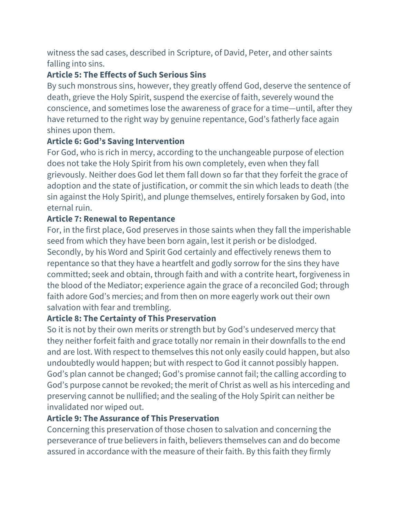witness the sad cases, described in Scripture, of David, Peter, and other saints falling into sins.

#### **Article 5: The Effects of Such Serious Sins**

By such monstrous sins, however, they greatly offend God, deserve the sentence of death, grieve the Holy Spirit, suspend the exercise of faith, severely wound the conscience, and sometimes lose the awareness of grace for a time—until, after they have returned to the right way by genuine repentance, God's fatherly face again shines upon them.

#### **Article 6: God's Saving Intervention**

For God, who is rich in mercy, according to the unchangeable purpose of election does not take the Holy Spirit from his own completely, even when they fall grievously. Neither does God let them fall down so far that they forfeit the grace of adoption and the state of justification, or commit the sin which leads to death (the sin against the Holy Spirit), and plunge themselves, entirely forsaken by God, into eternal ruin.

#### **Article 7: Renewal to Repentance**

For, in the first place, God preserves in those saints when they fall the imperishable seed from which they have been born again, lest it perish or be dislodged. Secondly, by his Word and Spirit God certainly and effectively renews them to repentance so that they have a heartfelt and godly sorrow for the sins they have committed; seek and obtain, through faith and with a contrite heart, forgiveness in the blood of the Mediator; experience again the grace of a reconciled God; through faith adore God's mercies; and from then on more eagerly work out their own salvation with fear and trembling.

#### **Article 8: The Certainty of This Preservation**

So it is not by their own merits or strength but by God's undeserved mercy that they neither forfeit faith and grace totally nor remain in their downfalls to the end and are lost. With respect to themselves this not only easily could happen, but also undoubtedly would happen; but with respect to God it cannot possibly happen. God's plan cannot be changed; God's promise cannot fail; the calling according to God's purpose cannot be revoked; the merit of Christ as well as his interceding and preserving cannot be nullified; and the sealing of the Holy Spirit can neither be invalidated nor wiped out.

#### **Article 9: The Assurance of This Preservation**

Concerning this preservation of those chosen to salvation and concerning the perseverance of true believers in faith, believers themselves can and do become assured in accordance with the measure of their faith. By this faith they firmly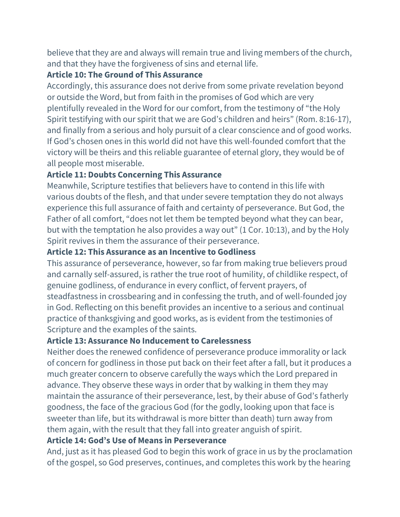believe that they are and always will remain true and living members of the church, and that they have the forgiveness of sins and eternal life.

#### **Article 10: The Ground of This Assurance**

Accordingly, this assurance does not derive from some private revelation beyond or outside the Word, but from faith in the promises of God which are very plentifully revealed in the Word for our comfort, from the testimony of "the Holy Spirit testifying with our spirit that we are God's children and heirs" (Rom. 8:16-17), and finally from a serious and holy pursuit of a clear conscience and of good works. If God's chosen ones in this world did not have this well-founded comfort that the victory will be theirs and this reliable guarantee of eternal glory, they would be of all people most miserable.

#### **Article 11: Doubts Concerning This Assurance**

Meanwhile, Scripture testifies that believers have to contend in this life with various doubts of the flesh, and that under severe temptation they do not always experience this full assurance of faith and certainty of perseverance. But God, the Father of all comfort, "does not let them be tempted beyond what they can bear, but with the temptation he also provides a way out" (1 Cor. 10:13), and by the Holy Spirit revives in them the assurance of their perseverance.

#### **Article 12: This Assurance as an Incentive to Godliness**

This assurance of perseverance, however, so far from making true believers proud and carnally self-assured, is rather the true root of humility, of childlike respect, of genuine godliness, of endurance in every conflict, of fervent prayers, of steadfastness in crossbearing and in confessing the truth, and of well-founded joy in God. Reflecting on this benefit provides an incentive to a serious and continual practice of thanksgiving and good works, as is evident from the testimonies of Scripture and the examples of the saints.

#### **Article 13: Assurance No Inducement to Carelessness**

Neither does the renewed confidence of perseverance produce immorality or lack of concern for godliness in those put back on their feet after a fall, but it produces a much greater concern to observe carefully the ways which the Lord prepared in advance. They observe these ways in order that by walking in them they may maintain the assurance of their perseverance, lest, by their abuse of God's fatherly goodness, the face of the gracious God (for the godly, looking upon that face is sweeter than life, but its withdrawal is more bitter than death) turn away from them again, with the result that they fall into greater anguish of spirit.

#### **Article 14: God's Use of Means in Perseverance**

And, just as it has pleased God to begin this work of grace in us by the proclamation of the gospel, so God preserves, continues, and completes this work by the hearing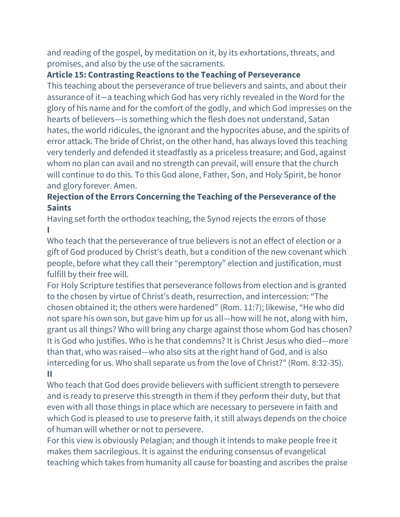and reading of the gospel, by meditation on it, by its exhortations, threats, and promises, and also by the use of the sacraments.

#### **Article 15: Contrasting Reactions to the Teaching of Perseverance**

This teaching about the perseverance of true believers and saints, and about their assurance of it—a teaching which God has very richly revealed in the Word for the glory of his name and for the comfort of the godly, and which God impresses on the hearts of believers—is something which the flesh does not understand, Satan hates, the world ridicules, the ignorant and the hypocrites abuse, and the spirits of error attack. The bride of Christ, on the other hand, has always loved this teaching very tenderly and defended it steadfastly as a priceless treasure; and God, against whom no plan can avail and no strength can prevail, will ensure that the church will continue to do this. To this God alone, Father, Son, and Holy Spirit, be honor and glory forever. Amen.

#### **Rejection of the Errors Concerning the Teaching of the Perseverance of the Saints**

Having set forth the orthodox teaching, the Synod rejects the errors of those **I**

Who teach that the perseverance of true believers is not an effect of election or a gift of God produced by Christ's death, but a condition of the new covenant which people, before what they call their "peremptory" election and justification, must fulfill by their free will.

For Holy Scripture testifies that perseverance follows from election and is granted to the chosen by virtue of Christ's death, resurrection, and intercession: "The chosen obtained it; the others were hardened" (Rom. 11:7); likewise, "He who did not spare his own son, but gave him up for us all—how will he not, along with him, grant us all things? Who will bring any charge against those whom God has chosen? It is God who justifies. Who is he that condemns? It is Christ Jesus who died—more than that, who was raised—who also sits at the right hand of God, and is also interceding for us. Who shall separate us from the love of Christ?" (Rom. 8:32-35). **II**

Who teach that God does provide believers with sufficient strength to persevere and is ready to preserve this strength in them if they perform their duty, but that even with all those things in place which are necessary to persevere in faith and which God is pleased to use to preserve faith, it still always depends on the choice of human will whether or not to persevere.

For this view is obviously Pelagian; and though it intends to make people free it makes them sacrilegious. It is against the enduring consensus of evangelical teaching which takes from humanity all cause for boasting and ascribes the praise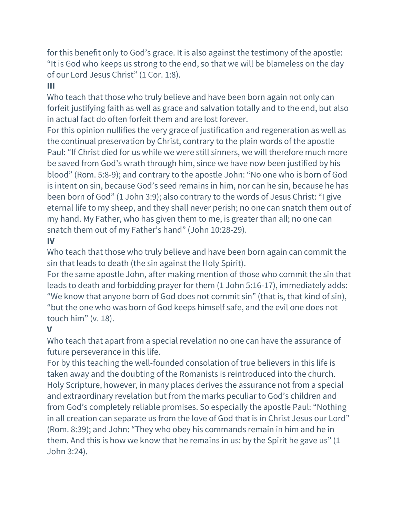for this benefit only to God's grace. It is also against the testimony of the apostle: "It is God who keeps us strong to the end, so that we will be blameless on the day of our Lord Jesus Christ" (1 Cor. 1:8).

#### **III**

Who teach that those who truly believe and have been born again not only can forfeit justifying faith as well as grace and salvation totally and to the end, but also in actual fact do often forfeit them and are lost forever.

For this opinion nullifies the very grace of justification and regeneration as well as the continual preservation by Christ, contrary to the plain words of the apostle Paul: "If Christ died for us while we were still sinners, we will therefore much more be saved from God's wrath through him, since we have now been justified by his blood" (Rom. 5:8-9); and contrary to the apostle John: "No one who is born of God is intent on sin, because God's seed remains in him, nor can he sin, because he has been born of God" (1 John 3:9); also contrary to the words of Jesus Christ: "I give eternal life to my sheep, and they shall never perish; no one can snatch them out of my hand. My Father, who has given them to me, is greater than all; no one can snatch them out of my Father's hand" (John 10:28-29).

#### **IV**

Who teach that those who truly believe and have been born again can commit the sin that leads to death (the sin against the Holy Spirit).

For the same apostle John, after making mention of those who commit the sin that leads to death and forbidding prayer for them (1 John 5:16-17), immediately adds: "We know that anyone born of God does not commit sin" (that is, that kind of sin), "but the one who was born of God keeps himself safe, and the evil one does not touch him" (v. 18).

#### **V**

Who teach that apart from a special revelation no one can have the assurance of future perseverance in this life.

For by this teaching the well-founded consolation of true believers in this life is taken away and the doubting of the Romanists is reintroduced into the church. Holy Scripture, however, in many places derives the assurance not from a special and extraordinary revelation but from the marks peculiar to God's children and from God's completely reliable promises. So especially the apostle Paul: "Nothing in all creation can separate us from the love of God that is in Christ Jesus our Lord" (Rom. 8:39); and John: "They who obey his commands remain in him and he in them. And this is how we know that he remains in us: by the Spirit he gave us" (1 John 3:24).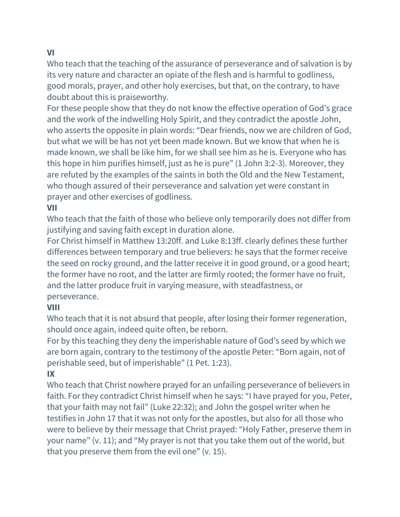#### **VI**

Who teach that the teaching of the assurance of perseverance and of salvation is by its very nature and character an opiate of the flesh and is harmful to godliness, good morals, prayer, and other holy exercises, but that, on the contrary, to have doubt about this is praiseworthy.

For these people show that they do not know the effective operation of God's grace and the work of the indwelling Holy Spirit, and they contradict the apostle John, who asserts the opposite in plain words: "Dear friends, now we are children of God, but what we will be has not yet been made known. But we know that when he is made known, we shall be like him, for we shall see him as he is. Everyone who has this hope in him purifies himself, just as he is pure" (1 John 3:2-3). Moreover, they are refuted by the examples of the saints in both the Old and the New Testament, who though assured of their perseverance and salvation yet were constant in prayer and other exercises of godliness.

#### **VII**

Who teach that the faith of those who believe only temporarily does not differ from justifying and saving faith except in duration alone.

For Christ himself in Matthew 13:20ff. and Luke 8:13ff. clearly defines these further differences between temporary and true believers: he says that the former receive the seed on rocky ground, and the latter receive it in good ground, or a good heart; the former have no root, and the latter are firmly rooted; the former have no fruit, and the latter produce fruit in varying measure, with steadfastness, or perseverance.

#### **VIII**

Who teach that it is not absurd that people, after losing their former regeneration, should once again, indeed quite often, be reborn.

For by this teaching they deny the imperishable nature of God's seed by which we are born again, contrary to the testimony of the apostle Peter: "Born again, not of perishable seed, but of imperishable" (1 Pet. 1:23).

#### **IX**

Who teach that Christ nowhere prayed for an unfailing perseverance of believers in faith. For they contradict Christ himself when he says: "I have prayed for you, Peter, that your faith may not fail" (Luke 22:32); and John the gospel writer when he testifies in John 17 that it was not only for the apostles, but also for all those who were to believe by their message that Christ prayed: "Holy Father, preserve them in your name" (v. 11); and "My prayer is not that you take them out of the world, but that you preserve them from the evil one" (v. 15).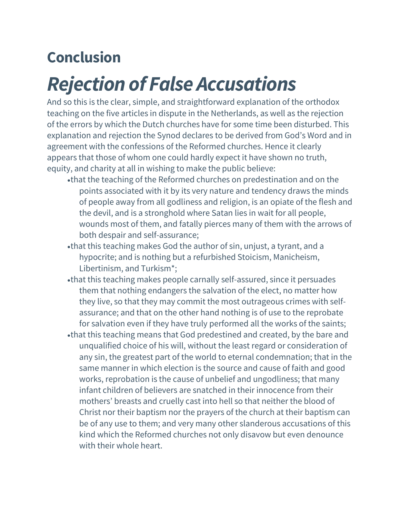### **Conclusion** *Rejection of False Accusations*

And so this is the clear, simple, and straightforward explanation of the orthodox teaching on the five articles in dispute in the Netherlands, as well as the rejection of the errors by which the Dutch churches have for some time been disturbed. This explanation and rejection the Synod declares to be derived from God's Word and in agreement with the confessions of the Reformed churches. Hence it clearly appears that those of whom one could hardly expect it have shown no truth, equity, and charity at all in wishing to make the public believe:

- •that the teaching of the Reformed churches on predestination and on the points associated with it by its very nature and tendency draws the minds of people away from all godliness and religion, is an opiate of the flesh and the devil, and is a stronghold where Satan lies in wait for all people, wounds most of them, and fatally pierces many of them with the arrows of both despair and self-assurance;
- •that this teaching makes God the author of sin, unjust, a tyrant, and a hypocrite; and is nothing but a refurbished Stoicism, Manicheism, Libertinism, and Turkism\*;
- •that this teaching makes people carnally self-assured, since it persuades them that nothing endangers the salvation of the elect, no matter how they live, so that they may commit the most outrageous crimes with selfassurance; and that on the other hand nothing is of use to the reprobate for salvation even if they have truly performed all the works of the saints;
- •that this teaching means that God predestined and created, by the bare and unqualified choice of his will, without the least regard or consideration of any sin, the greatest part of the world to eternal condemnation; that in the same manner in which election is the source and cause of faith and good works, reprobation is the cause of unbelief and ungodliness; that many infant children of believers are snatched in their innocence from their mothers' breasts and cruelly cast into hell so that neither the blood of Christ nor their baptism nor the prayers of the church at their baptism can be of any use to them; and very many other slanderous accusations of this kind which the Reformed churches not only disavow but even denounce with their whole heart.